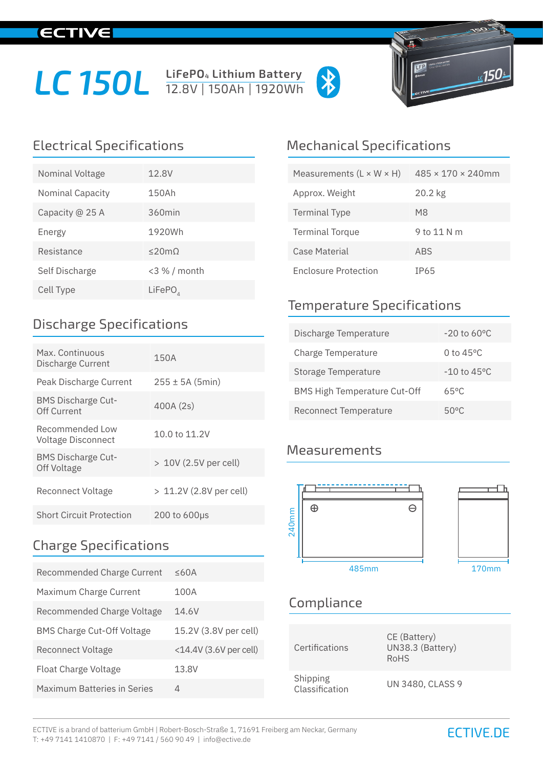## **IECTIVE**

# LC 150L **LIFePO<sub>4</sub> Lithium Battery**





| Nominal Voltage  | 12.8V            |
|------------------|------------------|
| Nominal Capacity | 150Ah            |
| Capacity @ 25 A  | 360min           |
| Energy           | 1920Wh           |
| Resistance       | $<$ 20m $\Omega$ |
| Self Discharge   | <3 % / month     |
| Cell Type        | $L$ iFePO $_{4}$ |

#### Discharge Specifications

| Max. Continuous<br>Discharge Current     | 150A                    |
|------------------------------------------|-------------------------|
| Peak Discharge Current                   | $255 \pm 5A (5min)$     |
| <b>BMS Discharge Cut-</b><br>Off Current | 400A (2s)               |
| Recommended Low<br>Voltage Disconnect    | 10.0 to 11.2V           |
| <b>BMS Discharge Cut-</b><br>Off Voltage | > 10V (2.5V per cell)   |
| Reconnect Voltage                        | > 11.2V (2.8V per cell) |
| <b>Short Circuit Protection</b>          | $200$ to $600\mu s$     |

#### Charge Specifications

| Recommended Charge Current         | $\leq$ 60A                  |
|------------------------------------|-----------------------------|
| Maximum Charge Current             | 100A                        |
| Recommended Charge Voltage         | 14.6V                       |
| <b>BMS Charge Cut-Off Voltage</b>  | 15.2V (3.8V per cell)       |
| <b>Reconnect Voltage</b>           | $<$ 14.4V $(3.6V$ per cell) |
| Float Charge Voltage               | 13.8V                       |
| <b>Maximum Batteries in Series</b> | Δ                           |

#### Electrical Specifications Mechanical Specifications

| Measurements $(L \times W \times H)$ | $485 \times 170 \times 240$ mm |
|--------------------------------------|--------------------------------|
| Approx. Weight                       | 20.2 kg                        |
| <b>Terminal Type</b>                 | M8                             |
| <b>Terminal Torque</b>               | 9 to 11 N m                    |
| Case Material                        | <b>ABS</b>                     |
| <b>Enclosure Protection</b>          | IP65                           |

#### Temperature Specifications

| Discharge Temperature               | $-20$ to 60 °C          |
|-------------------------------------|-------------------------|
| Charge Temperature                  | 0 to $45^{\circ}$ C     |
| Storage Temperature                 | $-10$ to $45^{\circ}$ C |
| <b>BMS High Temperature Cut-Off</b> | $65^{\circ}$ C          |
| Reconnect Temperature               | $50^{\circ}$ C          |

#### **Measurements**



### Compliance

| Certifications             | CE (Battery)<br>UN38.3 (Battery)<br><b>RoHS</b> |
|----------------------------|-------------------------------------------------|
| Shipping<br>Classification | <b>UN 3480, CLASS 9</b>                         |